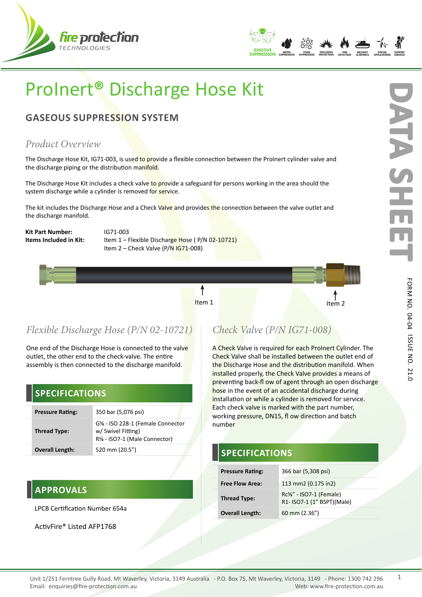



# ProInert**®** Discharge Hose Kit

# **GASEOUS SUPPRESSION SYSTEM**

### *Product Overview*

The Discharge Hose Kit, IG71-003, is used to provide a flexible connection between the ProInert cylinder valve and the discharge piping or the distribution manifold.

The Discharge Hose Kit includes a check valve to provide a safeguard for persons working in the area should the system discharge while a cylinder is removed for service.

The kit includes the Discharge Hose and a Check Valve and provides the connection between the valve outlet and the discharge manifold.

**Kit Part Number:** IG71-003

**Items Included in Kit:** Item 1 – Flexible Discharge Hose (P/N 02-10721) Item 2 – Check Valve (P/N IG71-008)



One end of the Discharge Hose is connected to the valve outlet, the other end to the check-valve. The entire assembly is then connected to the discharge manifold.

### **SPECIFICATIONS**

| <b>Pressure Rating:</b> | 350 bar (5,076 psi)                                                                    |
|-------------------------|----------------------------------------------------------------------------------------|
| <b>Thread Type:</b>     | G% - ISO 228-1 (Female Connector<br>w/ Swivel Fitting)<br>R% - ISO7-1 (Male Connector) |
| <b>Overall Length:</b>  | 520 mm (20.5")                                                                         |

### **APPROVALS**

LPCB Certification Number 654a

ActivFire® Listed AFP1768

# *Check Valve (P/N IG71-008)*

Item 1  $\begin{matrix} 1 & 1 \\ 1 & 1 \end{matrix}$  Item 2

A Check Valve is required for each ProInert Cylinder. The Check Valve shall be installed between the outlet end of the Discharge Hose and the distribution manifold. When installed properly, the Check Valve provides a means of preventing back-fl ow of agent through an open discharge hose in the event of an accidental discharge during installation or while a cylinder is removed for service. Each check valve is marked with the part number, working pressure, DN15, fl ow direction and batch number

## **SPECIFICATIONS**

| <b>Pressure Rating:</b> | 366 bar (5,308 psi)                                  |
|-------------------------|------------------------------------------------------|
| <b>Free Flow Area:</b>  | 113 mm2 (0.175 in2)                                  |
| <b>Thread Type:</b>     | Rc%" - ISO7-1 (Female)<br>R1- ISO7-1 (1" BSPT)(Male) |
| <b>Overall Length:</b>  | 60 mm (2.36")                                        |

ISSUE NO.

21.0